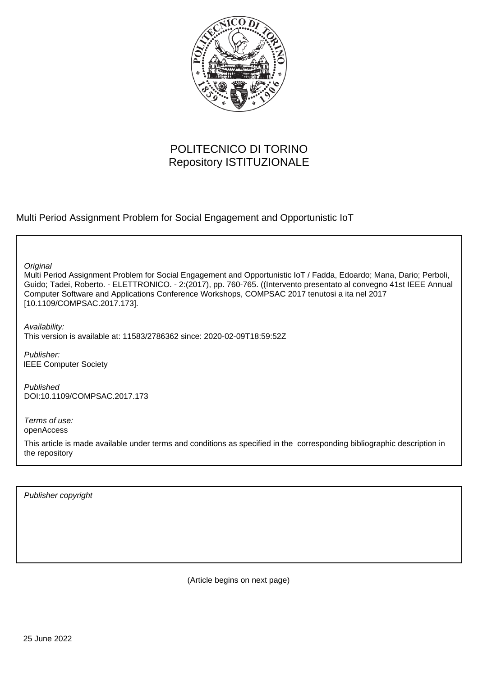

# POLITECNICO DI TORINO Repository ISTITUZIONALE

Multi Period Assignment Problem for Social Engagement and Opportunistic IoT

**Original** 

Multi Period Assignment Problem for Social Engagement and Opportunistic IoT / Fadda, Edoardo; Mana, Dario; Perboli, Guido; Tadei, Roberto. - ELETTRONICO. - 2:(2017), pp. 760-765. ((Intervento presentato al convegno 41st IEEE Annual Computer Software and Applications Conference Workshops, COMPSAC 2017 tenutosi a ita nel 2017 [10.1109/COMPSAC.2017.173].

Availability: This version is available at: 11583/2786362 since: 2020-02-09T18:59:52Z

Publisher: IEEE Computer Society

Published DOI:10.1109/COMPSAC.2017.173

Terms of use: openAccess

This article is made available under terms and conditions as specified in the corresponding bibliographic description in the repository

Publisher copyright

(Article begins on next page)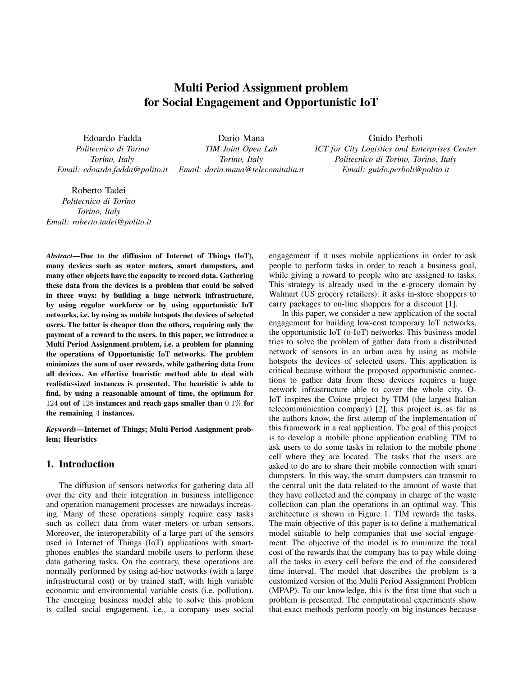# Multi Period Assignment problem for Social Engagement and Opportunistic IoT

Edoardo Fadda *Politecnico di Torino Torino, Italy Email: edoardo.fadda@polito.it*

Dario Mana *TIM Joint Open Lab Torino, Italy Email: dario.mana@telecomitalia.it*

#### Guido Perboli

*ICT for City Logistics and Enterprises Center Politecnico di Torino, Torino, Italy Email: guido.perboli@polito.it*

Roberto Tadei *Politecnico di Torino Torino, Italy Email: roberto.tadei@polito.it*

*Abstract*—Due to the diffusion of Internet of Things (IoT), many devices such as water meters, smart dumpsters, and many other objects have the capacity to record data. Gathering these data from the devices is a problem that could be solved in three ways: by building a huge network infrastructure, by using regular workforce or by using opportunistic IoT networks, i.e. by using as mobile hotspots the devices of selected users. The latter is cheaper than the others, requiring only the payment of a reward to the users. In this paper, we introduce a Multi Period Assignment problem, i.e. a problem for planning the operations of Opportunistic IoT networks. The problem minimizes the sum of user rewards, while gathering data from all devices. An effective heuristic method able to deal with realistic-sized instances is presented. The heuristic is able to find, by using a reasonable amount of time, the optimum for 124 out of 128 instances and reach gaps smaller than 0*.*1% for the remaining 4 instances.

*Keywords*—Internet of Things; Multi Period Assignment problem; Heuristics

### 1. Introduction

The diffusion of sensors networks for gathering data all over the city and their integration in business intelligence and operation management processes are nowadays increasing. Many of these operations simply require easy tasks such as collect data from water meters or urban sensors. Moreover, the interoperability of a large part of the sensors used in Internet of Things (IoT) applications with smartphones enables the standard mobile users to perform these data gathering tasks. On the contrary, these operations are normally performed by using ad-hoc networks (with a large infrastructural cost) or by trained staff, with high variable economic and environmental variable costs (i.e. pollution). The emerging business model able to solve this problem is called social engagement, i.e., a company uses social engagement if it uses mobile applications in order to ask people to perform tasks in order to reach a business goal, while giving a reward to people who are assigned to tasks. This strategy is already used in the e-grocery domain by Walmart (US grocery retailers): it asks in-store shoppers to carry packages to on-line shoppers for a discount [1].

In this paper, we consider a new application of the social engagement for building low-cost temporary IoT networks, the opportunistic IoT (o-IoT) networks. This business model tries to solve the problem of gather data from a distributed network of sensors in an urban area by using as mobile hotspots the devices of selected users. This application is critical because without the proposed opportunistic connections to gather data from these devices requires a huge network infrastructure able to cover the whole city. O-IoT inspires the Coiote project by TIM (the largest Italian telecommunication company) [2], this project is, as far as the authors know, the first attemp of the implementation of this framework in a real application. The goal of this project is to develop a mobile phone application enabling TIM to ask users to do some tasks in relation to the mobile phone cell where they are located. The tasks that the users are asked to do are to share their mobile connection with smart dumpsters. In this way, the smart dumpsters can transmit to the central unit the data related to the amount of waste that they have collected and the company in charge of the waste collection can plan the operations in an optimal way. This architecture is shown in Figure 1. TIM rewards the tasks. The main objective of this paper is to define a mathematical model suitable to help companies that use social engagement. The objective of the model is to minimize the total cost of the rewards that the company has to pay while doing all the tasks in every cell before the end of the considered time interval. The model that describes the problem is a customized version of the Multi Period Assignment Problem (MPAP). To our knowledge, this is the first time that such a problem is presented. The computational experiments show that exact methods perform poorly on big instances because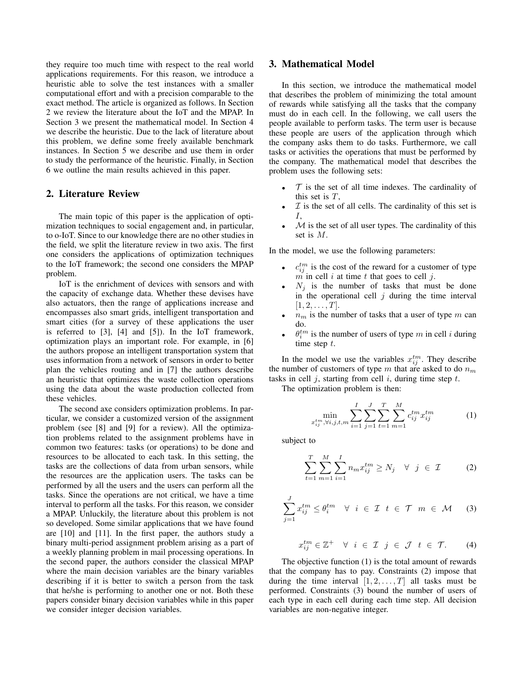they require too much time with respect to the real world applications requirements. For this reason, we introduce a heuristic able to solve the test instances with a smaller computational effort and with a precision comparable to the exact method. The article is organized as follows. In Section 2 we review the literature about the IoT and the MPAP. In Section 3 we present the mathematical model. In Section 4 we describe the heuristic. Due to the lack of literature about this problem, we define some freely available benchmark instances. In Section 5 we describe and use them in order to study the performance of the heuristic. Finally, in Section 6 we outline the main results achieved in this paper.

#### 2. Literature Review

The main topic of this paper is the application of optimization techniques to social engagement and, in particular, to o-IoT. Since to our knowledge there are no other studies in the field, we split the literature review in two axis. The first one considers the applications of optimization techniques to the IoT framework; the second one considers the MPAP problem.

IoT is the enrichment of devices with sensors and with the capacity of exchange data. Whether these devises have also actuators, then the range of applications increase and encompasses also smart grids, intelligent transportation and smart cities (for a survey of these applications the user is referred to [3], [4] and [5]). In the IoT framework, optimization plays an important role. For example, in [6] the authors propose an intelligent transportation system that uses information from a network of sensors in order to better plan the vehicles routing and in [7] the authors describe an heuristic that optimizes the waste collection operations using the data about the waste production collected from these vehicles.

The second axe considers optimization problems. In particular, we consider a customized version of the assignment problem (see [8] and [9] for a review). All the optimization problems related to the assignment problems have in common two features: tasks (or operations) to be done and resources to be allocated to each task. In this setting, the tasks are the collections of data from urban sensors, while the resources are the application users. The tasks can be performed by all the users and the users can perform all the tasks. Since the operations are not critical, we have a time interval to perform all the tasks. For this reason, we consider a MPAP. Unluckily, the literature about this problem is not so developed. Some similar applications that we have found are [10] and [11]. In the first paper, the authors study a binary multi-period assignment problem arising as a part of a weekly planning problem in mail processing operations. In the second paper, the authors consider the classical MPAP where the main decision variables are the binary variables describing if it is better to switch a person from the task that he/she is performing to another one or not. Both these papers consider binary decision variables while in this paper we consider integer decision variables.

#### 3. Mathematical Model

In this section, we introduce the mathematical model that describes the problem of minimizing the total amount of rewards while satisfying all the tasks that the company must do in each cell. In the following, we call users the people available to perform tasks. The term user is because these people are users of the application through which the company asks them to do tasks. Furthermore, we call tasks or activities the operations that must be performed by the company. The mathematical model that describes the problem uses the following sets:

- $\mathcal T$  is the set of all time indexes. The cardinality of this set is *T*,
- *• I* is the set of all cells. The cardinality of this set is *I*,
- *is the set of all user types. The cardinality of this* set is *M*.

In the model, we use the following parameters:

- $c_{ij}^{tm}$  is the cost of the reward for a customer of type  $\overline{m}$  in cell *i* at time *t* that goes to cell *j*.
- $N_j$  is the number of tasks that must be done in the operational cell  $j$  during the time interval  $[1, 2, \ldots, T].$
- $n<sub>m</sub>$  is the number of tasks that a user of type  $m$  can do.
- $\theta_i^{tm}$  is the number of users of type *m* in cell *i* during time step *t*.

In the model we use the variables  $x_{ij}^{tm}$ . They describe the number of customers of type *m* that are asked to do *n<sup>m</sup>* tasks in cell *j*, starting from cell *i*, during time step *t*.

The optimization problem is then:

$$
\min_{\substack{c_{ij}^{tm}, \forall i,j,t,m}} \sum_{i=1}^{I} \sum_{j=1}^{J} \sum_{t=1}^{T} \sum_{m=1}^{M} c_{ij}^{tm} x_{ij}^{tm}
$$
 (1)

subject to

*x*

$$
\sum_{t=1}^{T} \sum_{m=1}^{M} \sum_{i=1}^{I} n_m x_{ij}^{tm} \ge N_j \quad \forall \quad j \in \mathcal{I}
$$
 (2)

$$
\sum_{j=1}^{J} x_{ij}^{tm} \leq \theta_i^{tm} \quad \forall \quad i \in \mathcal{I} \quad t \in \mathcal{T} \quad m \in \mathcal{M} \tag{3}
$$

$$
x_{ij}^{tm} \in \mathbb{Z}^+ \quad \forall \quad i \ \in \ \mathcal{I} \quad j \ \in \ \mathcal{J} \quad t \ \in \ \mathcal{T}. \tag{4}
$$

The objective function (1) is the total amount of rewards that the company has to pay. Constraints (2) impose that during the time interval  $[1, 2, \ldots, T]$  all tasks must be performed. Constraints (3) bound the number of users of each type in each cell during each time step. All decision variables are non-negative integer.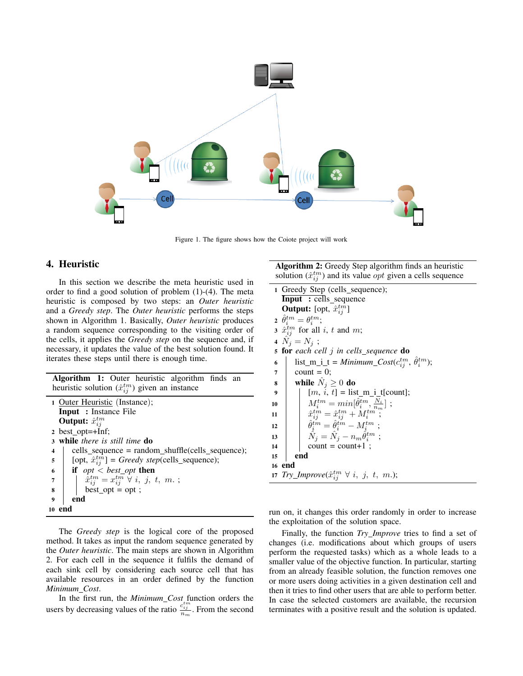

Figure 1. The figure shows how the Coiote project will work

## 4. Heuristic

In this section we describe the meta heuristic used in order to find a good solution of problem (1)-(4). The meta heuristic is composed by two steps: an *Outer heuristic* and a *Greedy step*. The *Outer heuristic* performs the steps shown in Algorithm 1. Basically, *Outer heuristic* produces a random sequence corresponding to the visiting order of the cells, it applies the *Greedy step* on the sequence and, if necessary, it updates the value of the best solution found. It iterates these steps until there is enough time.

| <b>Algorithm 1:</b> Outer heuristic algorithm finds an     |  |  |  |
|------------------------------------------------------------|--|--|--|
| heuristic solution $(\hat{x}_{ij}^{tm})$ given an instance |  |  |  |

| 1 Outer Heuristic (Instance);                                                 |                                                       |  |  |  |  |
|-------------------------------------------------------------------------------|-------------------------------------------------------|--|--|--|--|
| <b>Input</b> : Instance File                                                  |                                                       |  |  |  |  |
| <b>Output:</b> $\hat{x}_{ii}^{tm}$                                            |                                                       |  |  |  |  |
| 2 best_opt=+Inf;                                                              |                                                       |  |  |  |  |
| 3 while there is still time do                                                |                                                       |  |  |  |  |
| 4                                                                             | $cells\_sequence = random\_shuffle(cells\_sequence);$ |  |  |  |  |
| [opt, $\hat{x}_{ij}^{tm}$ ] = Greedy step(cells_sequence);<br>5 <sub>5</sub>  |                                                       |  |  |  |  |
| if $opt < best\_opt$ then<br>6                                                |                                                       |  |  |  |  |
| $\hat{x}_{ij}^{tm} = x_{ij}^{tm} \ \forall \ i, j, t, m. ;$<br>$\overline{7}$ |                                                       |  |  |  |  |
| $best\_opt = opt;$<br>8                                                       |                                                       |  |  |  |  |
| end<br>9                                                                      |                                                       |  |  |  |  |
| 10                                                                            |                                                       |  |  |  |  |

The *Greedy step* is the logical core of the proposed method. It takes as input the random sequence generated by the *Outer heuristic*. The main steps are shown in Algorithm 2. For each cell in the sequence it fulfils the demand of each sink cell by considering each source cell that has available resources in an order defined by the function *Minimum Cost*.

In the first run, the *Minimum Cost* function orders the users by decreasing values of the ratio  $\frac{c_{ij}^{tm}}{n_m}$ . From the second Algorithm 2: Greedy Step algorithm finds an heuristic solution  $(\hat{x}_{ij}^{tm})$  and its value *opt* given a cells sequence

|                | 1 Greedy Step (cells_sequence);                                                                                                                                                                                                              |
|----------------|----------------------------------------------------------------------------------------------------------------------------------------------------------------------------------------------------------------------------------------------|
|                | <b>Input</b> : cells_sequence                                                                                                                                                                                                                |
|                | <b>Output:</b> [opt, $\hat{x}_{ii}^{tm}$ ]                                                                                                                                                                                                   |
|                | $\partial_t^{\,tm}=\theta_i^{\,tm};$                                                                                                                                                                                                         |
|                | 3 $\hat{x}_{ij}^{tm}$ for all i, t and m;                                                                                                                                                                                                    |
|                | 4 $N_i = N_i$ ;                                                                                                                                                                                                                              |
|                | <b>5 for</b> each cell j in cells_sequence <b>do</b>                                                                                                                                                                                         |
| 6              | list_m_i_t = Minimum_Cost( $c_{i,j}^{tm}$ , $\hat{\theta}_i^{tm}$ );                                                                                                                                                                         |
| $\overline{7}$ | count $= 0$ ;                                                                                                                                                                                                                                |
| 8              | while $\hat{N}_i \geq 0$ do                                                                                                                                                                                                                  |
| 9              | $[m, i, t] =$ list_m_i_t[count];                                                                                                                                                                                                             |
| 10             |                                                                                                                                                                                                                                              |
| 11             |                                                                                                                                                                                                                                              |
| 12             |                                                                                                                                                                                                                                              |
| 13             | $M_i^{tm} = min[\hat{\theta}_i^{tm},\frac{\overline{N}_i}{n_m}] \ ; \ \hat{x}_{ij}^{tm} = \hat{x}_{ij}^{tm} + M_i^{tm} \ ; \ \hat{\theta}_i^{tm} = \hat{\theta}_i^{tm} - M_i^{tm} \ ; \ \hat{N}_j = \hat{N}_j - n_m \hat{\theta}_i^{tm} \ ;$ |
| 14             | $count = count + 1$ ;                                                                                                                                                                                                                        |
| 15             | end                                                                                                                                                                                                                                          |
|                | 16 end                                                                                                                                                                                                                                       |
|                | 17 Try_Improve $(\hat{x}_{ij}^{tm} \ \forall \ i, j, t, m.);$                                                                                                                                                                                |

run on, it changes this order randomly in order to increase the exploitation of the solution space.

Finally, the function *Try Improve* tries to find a set of changes (i.e. modifications about which groups of users perform the requested tasks) which as a whole leads to a smaller value of the objective function. In particular, starting from an already feasible solution, the function removes one or more users doing activities in a given destination cell and then it tries to find other users that are able to perform better. In case the selected customers are available, the recursion terminates with a positive result and the solution is updated.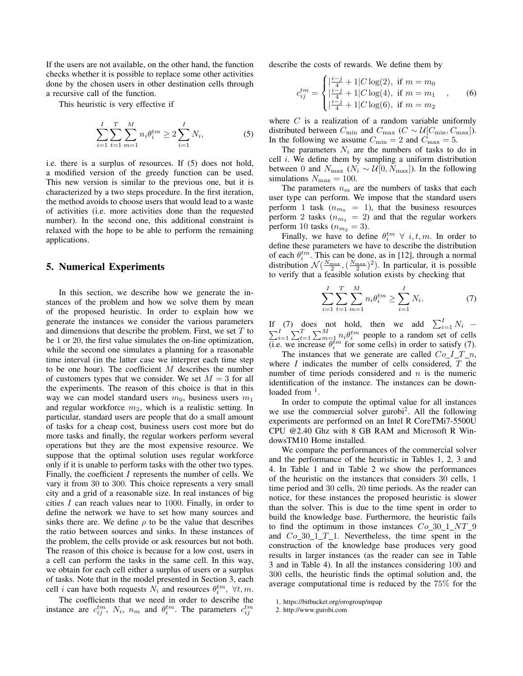If the users are not available, on the other hand, the function checks whether it is possible to replace some other activities done by the chosen users in other destination cells through a recursive call of the function.

This heuristic is very effective if

$$
\sum_{i=1}^{I} \sum_{t=1}^{T} \sum_{m=1}^{M} n_i \theta_i^{tm} \ge 2 \sum_{i=1}^{I} N_i,
$$
 (5)

i.e. there is a surplus of resources. If (5) does not hold, a modified version of the greedy function can be used. This new version is similar to the previous one, but it is characterized by a two steps procedure. In the first iteration, the method avoids to choose users that would lead to a waste of activities (i.e. more activities done than the requested number). In the second one, this additional constraint is relaxed with the hope to be able to perform the remaining applications.

#### 5. Numerical Experiments

In this section, we describe how we generate the instances of the problem and how we solve them by mean of the proposed heuristic. In order to explain how we generate the instances we consider the various parameters and dimensions that describe the problem. First, we set *T* to be 1 or 20, the first value simulates the on-line optimization, while the second one simulates a planning for a reasonable time interval (in the latter case we interpret each time step to be one hour). The coefficient *M* describes the number of customers types that we consider. We set  $M = 3$  for all the experiments. The reason of this choice is that in this way we can model standard users  $m_0$ , business users  $m_1$ and regular workforce  $m_2$ , which is a realistic setting. In particular, standard users are people that do a small amount of tasks for a cheap cost, business users cost more but do more tasks and finally, the regular workers perform several operations but they are the most expensive resource. We suppose that the optimal solution uses regular workforce only if it is unable to perform tasks with the other two types. Finally, the coefficient *I* represents the number of cells. We vary it from 30 to 300. This choice represents a very small city and a grid of a reasonable size. In real instances of big cities *I* can reach values near to 1000. Finally, in order to define the network we have to set how many sources and sinks there are. We define  $\rho$  to be the value that describes the ratio between sources and sinks. In these instances of the problem, the cells provide or ask resources but not both. The reason of this choice is because for a low cost, users in a cell can perform the tasks in the same cell. In this way, we obtain for each cell either a surplus of users or a surplus of tasks. Note that in the model presented in Section 3, each cell *i* can have both requests  $N_i$  and resources  $\theta_i^{tm}$ ,  $\forall t, m$ .

The coefficients that we need in order to describe the instance are  $c_{ij}^{tm}$ ,  $N_i$ ,  $n_m$  and  $\theta_i^{tm}$ . The parameters  $c_{ij}^{tm}$ 

describe the costs of rewards. We define them by

$$
c_{ij}^{tm} = \begin{cases} \left| \frac{i-j}{4} + 1 \right| C \log(2), & \text{if } m = m_0\\ \left| \frac{i-j}{4} + 1 \right| C \log(4), & \text{if } m = m_1\\ \left| \frac{i-j}{4} + 1 \right| C \log(6), & \text{if } m = m_2 \end{cases}
$$
 (6)

where *C* is a realization of a random variable uniformly distributed between  $C_{\text{min}}$  and  $C_{\text{max}}$  ( $C \sim \mathcal{U}[C_{\text{min}}, C_{\text{max}}]$ ). In the following we assume  $C_{\text{min}} = 2$  and  $\dot{C}_{\text{max}} = 5$ .

The parameters  $N_i$  are the numbers of tasks to do in cell *i*. We define them by sampling a uniform distribution between 0 and  $N_{\text{max}}$  ( $N_i \sim U[0, N_{\text{max}}]$ ). In the following simulations  $N_{\text{max}} = 100$ .

The parameters  $n<sub>m</sub>$  are the numbers of tasks that each user type can perform. We impose that the standard users perform 1 task ( $n_{m_0}$  = 1), that the business resources perform 2 tasks ( $n_{m_1} = 2$ ) and that the regular workers perform 10 tasks  $(n_{m_2} = 3)$ .

Finally, we have to define  $\theta_i^{tm} \forall i, t, m$ . In order to define these parameters we have to describe the distribution of each  $\theta_i^{tm}$ . This can be done, as in [12], through a normal distribution  $\mathcal{N}\left(\frac{N_{\text{max}}}{2}, \left(\frac{N_{\text{max}}}{2}\right)^2\right)$ . In particular, it is possible to verify that a feasible solution exists by checking that

$$
\sum_{i=1}^{I} \sum_{t=1}^{T} \sum_{m=1}^{M} n_i \theta_i^{tm} \ge \sum_{i=1}^{I} N_i.
$$
 (7)

If (7) does not hold, then we add  $\sum_{i=1}^{I} N_i$  –  $\sum_{i=1}^{I} \sum_{t=1}^{T} \sum_{m=1}^{M} n_i \theta_i^{tm}$  people to a random set of cells (i.e. we increase  $\theta_i^{tm}$  for some cells) in order to satisfy (7).

The instances that we generate are called  $Co\_I\_T\_n$ , where *I* indicates the number of cells considered, *T* the number of time periods considered and *n* is the numeric identification of the instance. The instances can be downloaded from  $<sup>1</sup>$ .</sup>

In order to compute the optimal value for all instances we use the commercial solver gurobi<sup>2</sup>. All the following experiments are performed on an Intel R CoreTMi7-5500U CPU @2.40 Ghz with 8 GB RAM and Microsoft R WindowsTM10 Home installed.

We compare the performances of the commercial solver and the performance of the heuristic in Tables 1, 2, 3 and 4. In Table 1 and in Table 2 we show the performances of the heuristic on the instances that considers 30 cells, 1 time period and 30 cells, 20 time periods. As the reader can notice, for these instances the proposed heuristic is slower than the solver. This is due to the time spent in order to build the knowledge base. Furthermore, the heuristic fails to find the optimum in those instances *Co* 30 1 *NT* 9 and *Co* 30 1 *T* 1. Nevertheless, the time spent in the construction of the knowledge base produces very good results in larger instances (as the reader can see in Table 3 and in Table 4). In all the instances considering 100 and 300 cells, the heuristic finds the optimal solution and, the average computational time is reduced by the 75% for the

<sup>1.</sup> https://bitbucket.org/orogroup/mpap

<sup>2.</sup> http://www.gurobi.com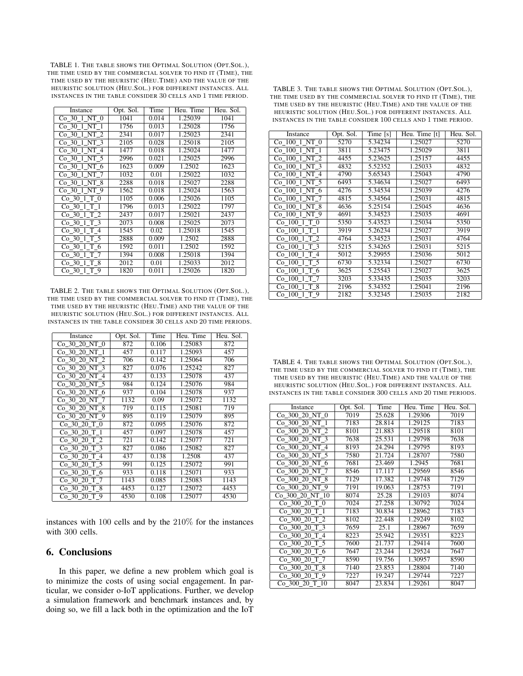TABLE 1. THE TABLE SHOWS THE OPTIMAL SOLUTION (OPT.SOL.), THE TIME USED BY THE COMMERCIAL SOLVER TO FIND IT (TIME), THE TIME USED BY THE HEURISTIC (HEU.TIME) AND THE VALUE OF THE HEURISTIC SOLUTION (HEU.SOL.) FOR DIFFERENT INSTANCES. ALL INSTANCES IN THE TABLE CONSIDER 30 CELLS AND 1 TIME PERIOD.

| Instance        | Opt. Sol. | Time  | Heu. Time | Heu. Sol. |
|-----------------|-----------|-------|-----------|-----------|
| Co 30 1 NT 0    | 1041      | 0.014 | 1.25039   | 1041      |
| Co 30 1 NT 1    | 1756      | 0.013 | 1.25028   | 1756      |
| Co 30 1 NT 2    | 2341      | 0.017 | 1.25023   | 2341      |
| Co 30 1 NT 3    | 2105      | 0.028 | 1.25018   | 2105      |
| Co 30 1 NT 4    | 1477      | 0.018 | 1.25024   | 1477      |
| Co 30 1 NT 5    | 2996      | 0.021 | 1.25025   | 2996      |
| Co 30 1 NT 6    | 1623      | 0.009 | 1.2502    | 1623      |
| Co 30 1 NT 7    | 1032      | 0.01  | 1.25022   | 1032      |
| Co 30 1 NT 8    | 2288      | 0.018 | 1.25027   | 2288      |
| $Co_30_1_N$ T 9 | 1562      | 0.018 | 1.25024   | 1563      |
| Co 30 1 T 0     | 1105      | 0.006 | 1.25026   | 1105      |
| Co 30 1 T 1     | 1796      | 0.013 | 1.25022   | 1797      |
| Co 30 1 T 2     | 2437      | 0.017 | 1.25021   | 2437      |
| Co 30 1 T 3     | 2073      | 0.008 | 1.25025   | 2073      |
| Co 30 1 T 4     | 1545      | 0.02  | 1.25018   | 1545      |
| Co 30 1 T 5     | 2888      | 0.009 | 1.2502    | 2888      |
| Co 30 1 T 6     | 1592      | 0.011 | 1.2502    | 1592      |
| Co 30 1 T 7     | 1394      | 0.008 | 1.25018   | 1394      |
| Co 30 1 T 8     | 2012      | 0.01  | 1.25033   | 2012      |
| $Co$ 30 $1$ T 9 | 1820      | 0.011 | 1.25026   | 1820      |

TABLE 2. THE TABLE SHOWS THE OPTIMAL SOLUTION (OPT.SOL.), THE TIME USED BY THE COMMERCIAL SOLVER TO FIND IT (TIME), THE TIME USED BY THE HEURISTIC (HEU.TIME) AND THE VALUE OF THE HEURISTIC SOLUTION (HEU.SOL.) FOR DIFFERENT INSTANCES. ALL INSTANCES IN THE TABLE CONSIDER 30 CELLS AND 20 TIME PERIODS.

| Instance      | Opt. Sol. | Time  | Heu. Time | Heu. Sol. |
|---------------|-----------|-------|-----------|-----------|
| Co 30 20 NT 0 | 872       | 0.106 | 1.25083   | 872       |
| Co 30 20 NT 1 | 457       | 0.117 | 1.25093   | 457       |
| Co 30 20 NT 2 | 706       | 0.142 | 1.25064   | 706       |
| Co 30 20 NT 3 | 827       | 0.076 | 1.25242   | 827       |
| Co 30 20 NT 4 | 437       | 0.133 | 1.25078   | 437       |
| Co 30 20 NT 5 | 984       | 0.124 | 1.25076   | 984       |
| Co 30 20 NT 6 | 937       | 0.104 | 1.25078   | 937       |
| Co 30 20 NT 7 | 1132      | 0.09  | 1.25072   | 1132      |
| Co 30 20 NT 8 | 719       | 0.115 | 1.25081   | 719       |
| Co 30 20 NT 9 | 895       | 0.119 | 1.25079   | 895       |
| Co 30 20 T 0  | 872       | 0.095 | 1.25076   | 872       |
| Co 30 20 T 1  | 457       | 0.097 | 1.25078   | 457       |
| Co 30 20 T 2  | 721       | 0.142 | 1.25077   | 721       |
| Co 30 20 T 3  | 827       | 0.086 | 1.25082   | 827       |
| Co 30 20 T 4  | 437       | 0.138 | 1.2508    | 437       |
| Co 30 20 T 5  | 991       | 0.125 | 1.25072   | 991       |
| Co 30 20 T 6  | 933       | 0.118 | 1.25071   | 933       |
| Co 30 20 T 7  | 1143      | 0.085 | 1.25083   | 1143      |
| Co 30 20 T 8  | 4453      | 0.127 | 1.25072   | 4453      |
| Co 30 20 T 9  | 4530      | 0.108 | 1.25077   | 4530      |

instances with 100 cells and by the 210% for the instances with 300 cells.

#### 6. Conclusions

In this paper, we define a new problem which goal is to minimize the costs of using social engagement. In particular, we consider o-IoT applications. Further, we develop a simulation framework and benchmark instances and, by doing so, we fill a lack both in the optimization and the IoT

TABLE 3. THE TABLE SHOWS THE OPTIMAL SOLUTION (OPT.SOL.), THE TIME USED BY THE COMMERCIAL SOLVER TO FIND IT (TIME), THE TIME USED BY THE HEURISTIC (HEU.TIME) AND THE VALUE OF THE HEURISTIC SOLUTION (HEU.SOL.) FOR DIFFERENT INSTANCES. ALL INSTANCES IN THE TABLE CONSIDER 100 CELLS AND 1 TIME PERIOD.

| Instance                  | Opt. Sol. | Time [s] | Heu. Time [t] | Heu. Sol. |
|---------------------------|-----------|----------|---------------|-----------|
| Co 100 1 NT 0             | 5270      | 5.34234  | 1.25027       | 5270      |
| Co 100 1 NT 1             | 3811      | 5.23475  | 1.25029       | 3811      |
| Co 100 1 NT 2             | 4455      | 5.23625  | 1.25157       | 4455      |
| Co 100 1 NT 3             | 4832      | 5.52352  | 1.25033       | 4832      |
| Co 100 1 NT 4             | 4790      | 5.65343  | 1.25043       | 4790      |
| Co 100 1 NT 5             | 6493      | 5.34634  | 1.25027       | 6493      |
| Co 100 1 NT 6             | 4276      | 5.34534  | 1.25039       | 4276      |
| Co 100 1 NT 7             | 4815      | 5.34564  | 1.25031       | 4815      |
| Co 100 1 NT 8             | 4636      | 5.25154  | 1.25045       | 4636      |
| Co 100 1 NT 9             | 4691      | 5.34523  | 1.25035       | 4691      |
| Co 100 1 T 0              | 5350      | 5.43523  | 1.25034       | 5350      |
| Co 100 1 T 1              | 3919      | 5.26234  | 1.25027       | 3919      |
| Co 100 1 T 2              | 4764      | 5.34523  | 1.25031       | 4764      |
| Co 100 1 T 3              | 5215      | 5.34265  | 1.25031       | 5215      |
| $Co$ $100$ $1$ $T$ $4$    | 5012      | 5.29955  | 1.25036       | 5012      |
| Co 100 1 T 5              | 6730      | 5.32334  | 1.25027       | 6730      |
| Co 100 1 T 6              | 3625      | 5.25543  | 1.25027       | 3625      |
| $Co_100_1$ <sup>T</sup> 7 | 3203      | 5.33435  | 1.25035       | 3203      |
| Co 100 1 T 8              | 2196      | 5.34352  | 1.25041       | 2196      |
| Co 100 1 T 9              | 2182      | 5.32345  | 1.25035       | 2182      |

TABLE 4. THE TABLE SHOWS THE OPTIMAL SOLUTION (OPT.SOL.), THE TIME USED BY THE COMMERCIAL SOLVER TO FIND IT (TIME), THE TIME USED BY THE HEURISTIC (HEU.TIME) AND THE VALUE OF THE HEURISTIC SOLUTION (HEU.SOL.) FOR DIFFERENT INSTANCES. ALL INSTANCES IN THE TABLE CONSIDER 300 CELLS AND 20 TIME PERIODS.

| Instance        | Opt. Sol. | Time   | Heu. Time | Heu. Sol. |
|-----------------|-----------|--------|-----------|-----------|
| Co 300 20 NT 0  | 7019      | 25.628 | 1.29306   | 7019      |
| Co 300 20 NT 1  | 7183      | 28.814 | 1.29125   | 7183      |
| Co 300 20 NT 2  | 8101      | 21.883 | 1.29518   | 8101      |
| Co 300 20 NT 3  | 7638      | 25.531 | 1.29798   | 7638      |
| Co 300 20 NT 4  | 8193      | 24.294 | 1.29795   | 8193      |
| Co 300 20 NT 5  | 7580      | 21.724 | 1.28707   | 7580      |
| Co 300 20 NT 6  | 7681      | 23.469 | 1.2945    | 7681      |
| Co 300 20 NT 7  | 8546      | 17.117 | 1.29569   | 8546      |
| Co 300 20 NT 8  | 7129      | 17.382 | 1.29748   | 7129      |
| Co 300 20 NT 9  | 7191      | 19.063 | 1.28753   | 7191      |
| Co 300 20 NT 10 | 8074      | 25.28  | 1.29103   | 8074      |
| Co 300 20 T 0   | 7024      | 27.258 | 1.30792   | 7024      |
| Co 300 20 T 1   | 7183      | 30.834 | 1.28962   | 7183      |
| Co 300 20 T 2   | 8102      | 22.448 | 1.29249   | 8102      |
| Co 300 20 T 3   | 7659      | 25.1   | 1.28967   | 7659      |
| Co 300 20 T 4   | 8223      | 25.942 | 1.29351   | 8223      |
| Co 300 20 T 5   | 7600      | 21.737 | 1.29414   | 7600      |
| Co 300 20 T 6   | 7647      | 23.244 | 1.29524   | 7647      |
| Co 300 20 T 7   | 8590      | 19.756 | 1.30957   | 8590      |
| Co 300 20 T 8   | 7140      | 23.853 | 1.28804   | 7140      |
| Co 300 20 T 9   | 7227      | 19.247 | 1.29744   | 7227      |
| Co 300 20 T 10  | 8047      | 23.834 | 1.29261   | 8047      |